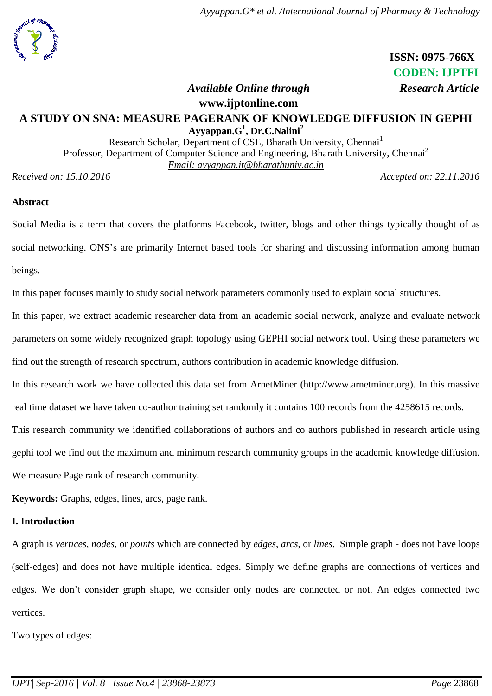# **ISSN: 0975-766X CODEN: IJPTFI**

#### *Available Online through* Research Article

#### **www.ijptonline.com**

# **A STUDY ON SNA: MEASURE PAGERANK OF KNOWLEDGE DIFFUSION IN GEPHI Ayyappan.G<sup>1</sup> , Dr.C.Nalini<sup>2</sup>**

Research Scholar, Department of CSE, Bharath University, Chennai<sup>1</sup> Professor, Department of Computer Science and Engineering, Bharath University, Chennai<sup>2</sup> *Email: ayyappan.it@bharathuniv.ac.in*

*Received on: 15.10.2016 Accepted on: 22.11.2016*

#### **Abstract**

Social Media is a term that covers the platforms Facebook, twitter, blogs and other things typically thought of as social networking. ONS's are primarily Internet based tools for sharing and discussing information among human beings.

In this paper focuses mainly to study social network parameters commonly used to explain social structures.

In this paper, we extract academic researcher data from an academic social network, analyze and evaluate network parameters on some widely recognized graph topology using GEPHI social network tool. Using these parameters we find out the strength of research spectrum, authors contribution in academic knowledge diffusion.

In this research work we have collected this data set from ArnetMiner (http://www.arnetminer.org). In this massive

real time dataset we have taken co-author training set randomly it contains 100 records from the 4258615 records.

This research community we identified collaborations of authors and co authors published in research article using

gephi tool we find out the maximum and minimum research community groups in the academic knowledge diffusion.

We measure Page rank of research community.

**Keywords:** Graphs, edges, lines, arcs, page rank.

# **I. Introduction**

A graph is *[vertices](https://en.wikipedia.org/wiki/Vertex_%28graph_theory%29)*, *nodes*, or *points* which are connected by *edges*, *arcs*, or *lines*. Simple graph - does not have loops (self-edges) and does not have multiple identical edges. Simply we define graphs are connections of vertices and edges. We don't consider graph shape, we consider only nodes are connected or not. An edges connected two vertices.

Two types of edges: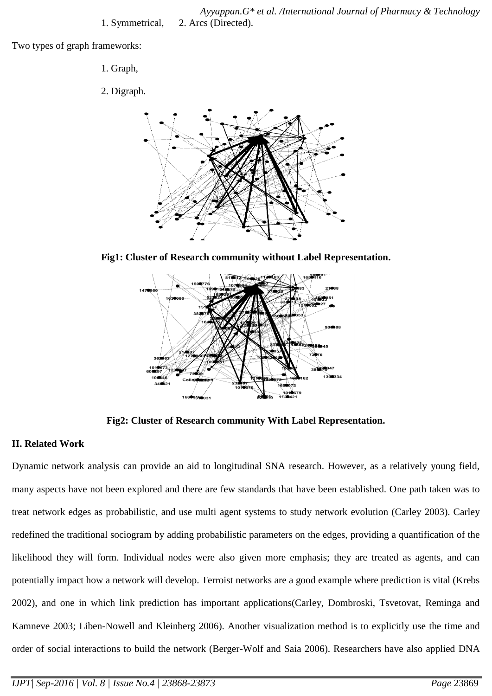*Ayyappan.G\* et al. /International Journal of Pharmacy & Technology* 1. Symmetrical, 2. Arcs (Directed).

Two types of graph frameworks:

- 1. Graph,
- 2. Digraph.



**Fig1: Cluster of Research community without Label Representation.**



**Fig2: Cluster of Research community With Label Representation.**

# **II. Related Work**

Dynamic network analysis can provide an aid to longitudinal SNA research. However, as a relatively young field, many aspects have not been explored and there are few standards that have been established. One path taken was to treat network edges as probabilistic, and use multi agent systems to study network evolution (Carley 2003). Carley redefined the traditional sociogram by adding probabilistic parameters on the edges, providing a quantification of the likelihood they will form. Individual nodes were also given more emphasis; they are treated as agents, and can potentially impact how a network will develop. Terroist networks are a good example where prediction is vital (Krebs 2002), and one in which link prediction has important applications(Carley, Dombroski, Tsvetovat, Reminga and Kamneve 2003; Liben-Nowell and Kleinberg 2006). Another visualization method is to explicitly use the time and order of social interactions to build the network (Berger-Wolf and Saia 2006). Researchers have also applied DNA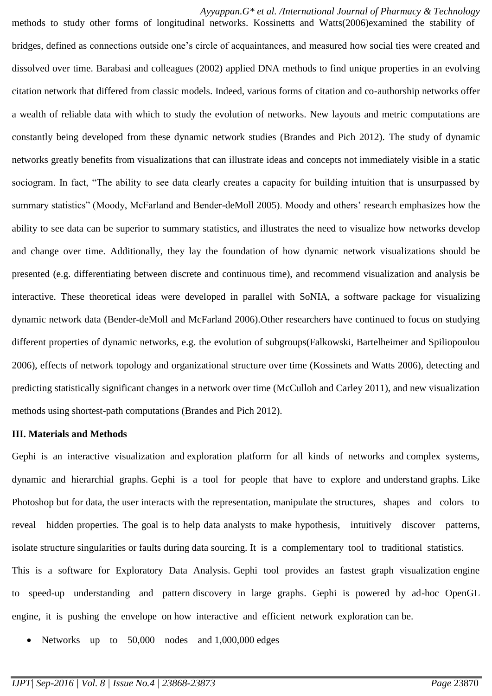*Ayyappan.G\* et al. /International Journal of Pharmacy & Technology*

methods to study other forms of longitudinal networks. Kossinetts and Watts(2006)examined the stability of bridges, defined as connections outside one's circle of acquaintances, and measured how social ties were created and dissolved over time. Barabasi and colleagues (2002) applied DNA methods to find unique properties in an evolving citation network that differed from classic models. Indeed, various forms of citation and co-authorship networks offer a wealth of reliable data with which to study the evolution of networks. New layouts and metric computations are constantly being developed from these dynamic network studies (Brandes and Pich 2012). The study of dynamic networks greatly benefits from visualizations that can illustrate ideas and concepts not immediately visible in a static sociogram. In fact, "The ability to see data clearly creates a capacity for building intuition that is unsurpassed by summary statistics" (Moody, McFarland and Bender-deMoll 2005). Moody and others' research emphasizes how the ability to see data can be superior to summary statistics, and illustrates the need to visualize how networks develop and change over time. Additionally, they lay the foundation of how dynamic network visualizations should be presented (e.g. differentiating between discrete and continuous time), and recommend visualization and analysis be interactive. These theoretical ideas were developed in parallel with SoNIA, a software package for visualizing dynamic network data (Bender-deMoll and McFarland 2006).Other researchers have continued to focus on studying different properties of dynamic networks, e.g. the evolution of subgroups(Falkowski, Bartelheimer and Spiliopoulou 2006), effects of network topology and organizational structure over time (Kossinets and Watts 2006), detecting and predicting statistically significant changes in a network over time (McCulloh and Carley 2011), and new visualization methods using shortest-path computations (Brandes and Pich 2012).

#### **III. Materials and Methods**

Gephi is an interactive visualization and exploration platform for all kinds of networks and complex systems, dynamic and hierarchial graphs. Gephi is a tool for people that have to explore and understand graphs. Like Photoshop but for data, the user interacts with the representation, manipulate the structures, shapes and colors to reveal hidden properties. The goal is to help data analysts to make hypothesis, intuitively discover patterns, isolate structure singularities or faults during data sourcing. It is a complementary tool to traditional statistics. This is a software for Exploratory Data Analysis. Gephi tool provides an fastest graph visualization engine to speed-up understanding and pattern discovery in large graphs. Gephi is powered by ad-hoc OpenGL engine, it is pushing the envelope on how interactive and efficient network exploration can be.

• Networks up to 50,000 nodes and 1,000,000 edges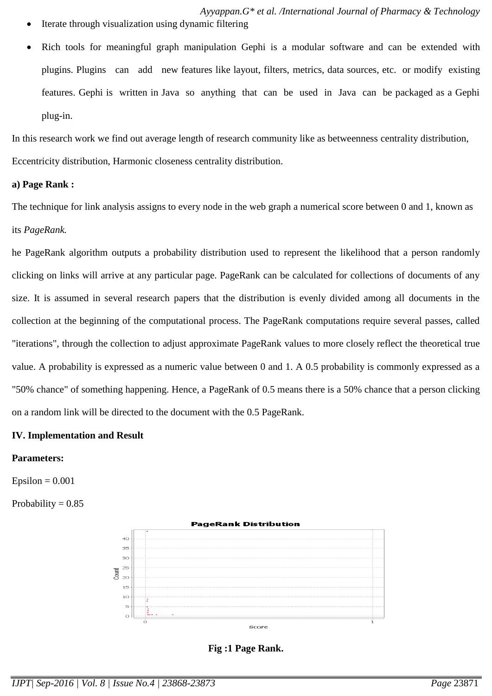- *Ayyappan.G\* et al. /International Journal of Pharmacy & Technology*
- Iterate through visualization using dynamic filtering
- Rich tools for meaningful graph manipulation Gephi is a modular software and can be extended with plugins. Plugins can add new features like layout, filters, metrics, data sources, etc. or modify existing features. Gephi is written in Java so anything that can be used in Java can be packaged as a Gephi plug-in.

In this research work we find out average length of research community like as betweenness centrality distribution, Eccentricity distribution, Harmonic closeness centrality distribution.

## **a) Page Rank :**

The technique for link analysis assigns to every node in the web graph a numerical score between 0 and 1, known as its *PageRank.*

he PageRank algorithm outputs a probability distribution used to represent the likelihood that a person randomly clicking on links will arrive at any particular page. PageRank can be calculated for collections of documents of any size. It is assumed in several research papers that the distribution is evenly divided among all documents in the collection at the beginning of the computational process. The PageRank computations require several passes, called "iterations", through the collection to adjust approximate PageRank values to more closely reflect the theoretical true value. A probability is expressed as a numeric value between 0 and 1. A 0.5 probability is commonly expressed as a "50% chance" of something happening. Hence, a PageRank of 0.5 means there is a 50% chance that a person clicking on a random link will be directed to the document with the 0.5 PageRank.

## **IV. Implementation and Result**

## **Parameters:**

 $Epsilon = 0.001$ 

Probability  $= 0.85$ 



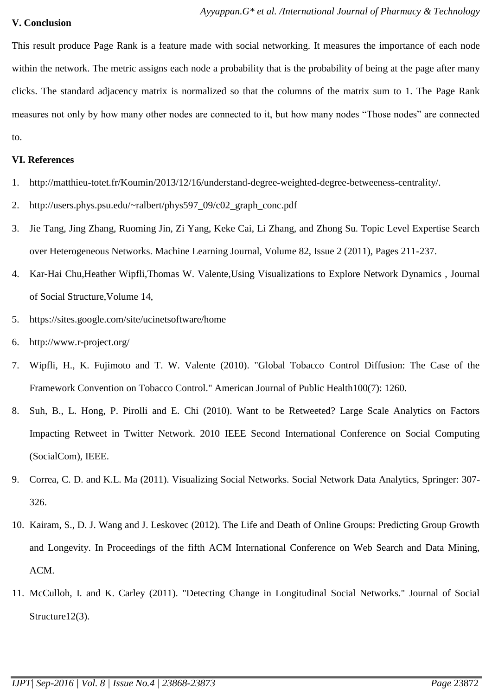# **V. Conclusion**

This result produce Page Rank is a feature made with social networking. It measures the importance of each node within the network. The metric assigns each node a probability that is the probability of being at the page after many clicks. The standard adjacency matrix is normalized so that the columns of the matrix sum to 1. The Page Rank measures not only by how many other nodes are connected to it, but how many nodes "Those nodes" are connected to.

# **VI. References**

- 1. [http://matthieu-totet.fr/Koumin/2013/12/16/understand-degree-weighted-degree-betweeness-centrality/.](http://matthieu-totet.fr/Koumin/2013/12/16/understand-degree-weighted-degree-betweeness-centrality/)
- 2. [http://users.phys.psu.edu/~ralbert/phys597\\_09/c02\\_graph\\_conc.pdf](http://users.phys.psu.edu/~ralbert/phys597_09/c02_graph_conc.pdf)
- 3. Jie Tang, Jing Zhang, Ruoming Jin, Zi Yang, Keke Cai, Li Zhang, and Zhong Su. Topic Level Expertise Search over Heterogeneous Networks. Machine Learning Journal, Volume 82, Issue 2 (2011), Pages 211-237.
- 4. Kar-Hai Chu,Heather Wipfli,Thomas W. Valente,Using Visualizations to Explore Network Dynamics , Journal of Social Structure,Volume 14,
- 5. <https://sites.google.com/site/ucinetsoftware/home>
- 6. <http://www.r-project.org/>
- 7. Wipfli, H., K. Fujimoto and T. W. Valente (2010). "Global Tobacco Control Diffusion: The Case of the Framework Convention on Tobacco Control." American Journal of Public Health100(7): 1260.
- 8. Suh, B., L. Hong, P. Pirolli and E. Chi (2010). Want to be Retweeted? Large Scale Analytics on Factors Impacting Retweet in Twitter Network. 2010 IEEE Second International Conference on Social Computing (SocialCom), IEEE.
- 9. Correa, C. D. and K.L. Ma (2011). Visualizing Social Networks. Social Network Data Analytics, Springer: 307- 326.
- 10. Kairam, S., D. J. Wang and J. Leskovec (2012). The Life and Death of Online Groups: Predicting Group Growth and Longevity. In Proceedings of the fifth ACM International Conference on Web Search and Data Mining, ACM.
- 11. McCulloh, I. and K. Carley (2011). "Detecting Change in Longitudinal Social Networks." Journal of Social Structure12(3).